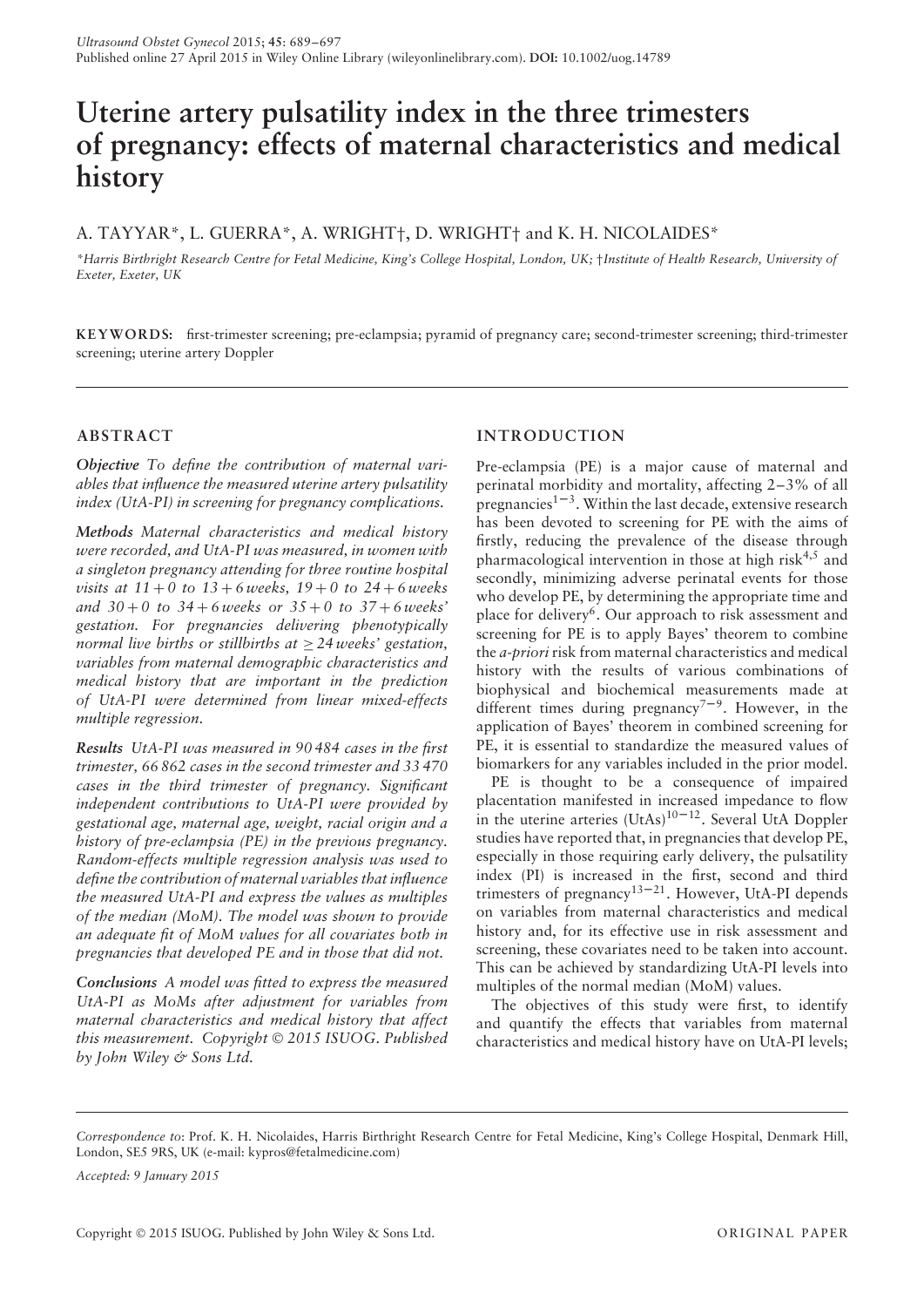# **Uterine artery pulsatility index in the three trimesters of pregnancy: effects of maternal characteristics and medical history**

# A. TAYYAR\*, L. GUERRA\*, A. WRIGHT†, D. WRIGHT† and K. H. NICOLAIDES\*

*\*Harris Birthright Research Centre for Fetal Medicine, King's College Hospital, London, UK;* †*Institute of Health Research, University of Exeter, Exeter, UK*

**KEYWORD S:** first-trimester screening; pre-eclampsia; pyramid of pregnancy care; second-trimester screening; third-trimester screening; uterine artery Doppler

## **ABSTRACT**

*Objective To define the contribution of maternal variables that influence the measured uterine artery pulsatility index (UtA-PI) in screening for pregnancy complications.*

*Methods Maternal characteristics and medical history were recorded, and UtA-PI was measured, in women with a singleton pregnancy attending for three routine hospital visits at*  $11 + 0$  to  $13 + 6$  *weeks*,  $19 + 0$  to  $24 + 6$  *weeks and 30* + *0 to 34* + *6 weeks or 35* + *0 to 37* + *6 weeks' gestation. For pregnancies delivering phenotypically normal live births or stillbirths at* ≥ *24 weeks' gestation, variables from maternal demographic characteristics and medical history that are important in the prediction of UtA-PI were determined from linear mixed-effects multiple regression.*

*Results UtA-PI was measured in 90 484 cases in the first trimester, 66 862 cases in the second trimester and 33 470 cases in the third trimester of pregnancy. Significant independent contributions to UtA-PI were provided by gestational age, maternal age, weight, racial origin and a history of pre-eclampsia (PE) in the previous pregnancy. Random-effects multiple regression analysis was used to define the contribution of maternal variables that influence the measured UtA-PI and express the values as multiples of the median (MoM). The model was shown to provide an adequate fit of MoM values for all covariates both in pregnancies that developed PE and in those that did not.*

*Conclusions A model was fitted to express the measured UtA-PI as MoMs after adjustment for variables from maternal characteristics and medical history that affect this measurement. Copyright* © *2015 ISUOG. Published by John Wiley & Sons Ltd.*

## **INTRODUCTION**

Pre-eclampsia (PE) is a major cause of maternal and perinatal morbidity and mortality, affecting 2–3% of all pregnancies<sup> $1-3$ </sup>. Within the last decade, extensive research has been devoted to screening for PE with the aims of firstly, reducing the prevalence of the disease through pharmacological intervention in those at high risk $4,5$  and secondly, minimizing adverse perinatal events for those who develop PE, by determining the appropriate time and place for delivery6. Our approach to risk assessment and screening for PE is to apply Bayes' theorem to combine the *a-priori* risk from maternal characteristics and medical history with the results of various combinations of biophysical and biochemical measurements made at different times during pregnancy<sup> $7-9$ </sup>. However, in the application of Bayes' theorem in combined screening for PE, it is essential to standardize the measured values of biomarkers for any variables included in the prior model.

PE is thought to be a consequence of impaired placentation manifested in increased impedance to flow in the uterine arteries  $(UtAs)^{10-12}$ . Several UtA Doppler studies have reported that, in pregnancies that develop PE, especially in those requiring early delivery, the pulsatility index (PI) is increased in the first, second and third trimesters of pregnancy<sup>13–21</sup>. However, UtA-PI depends on variables from maternal characteristics and medical history and, for its effective use in risk assessment and screening, these covariates need to be taken into account. This can be achieved by standardizing UtA-PI levels into multiples of the normal median (MoM) values.

The objectives of this study were first, to identify and quantify the effects that variables from maternal characteristics and medical history have on UtA-PI levels;

*Accepted: 9 January 2015*

*Correspondence to*: Prof. K. H. Nicolaides, Harris Birthright Research Centre for Fetal Medicine, King's College Hospital, Denmark Hill, London, SE5 9RS, UK (e-mail: kypros@fetalmedicine.com)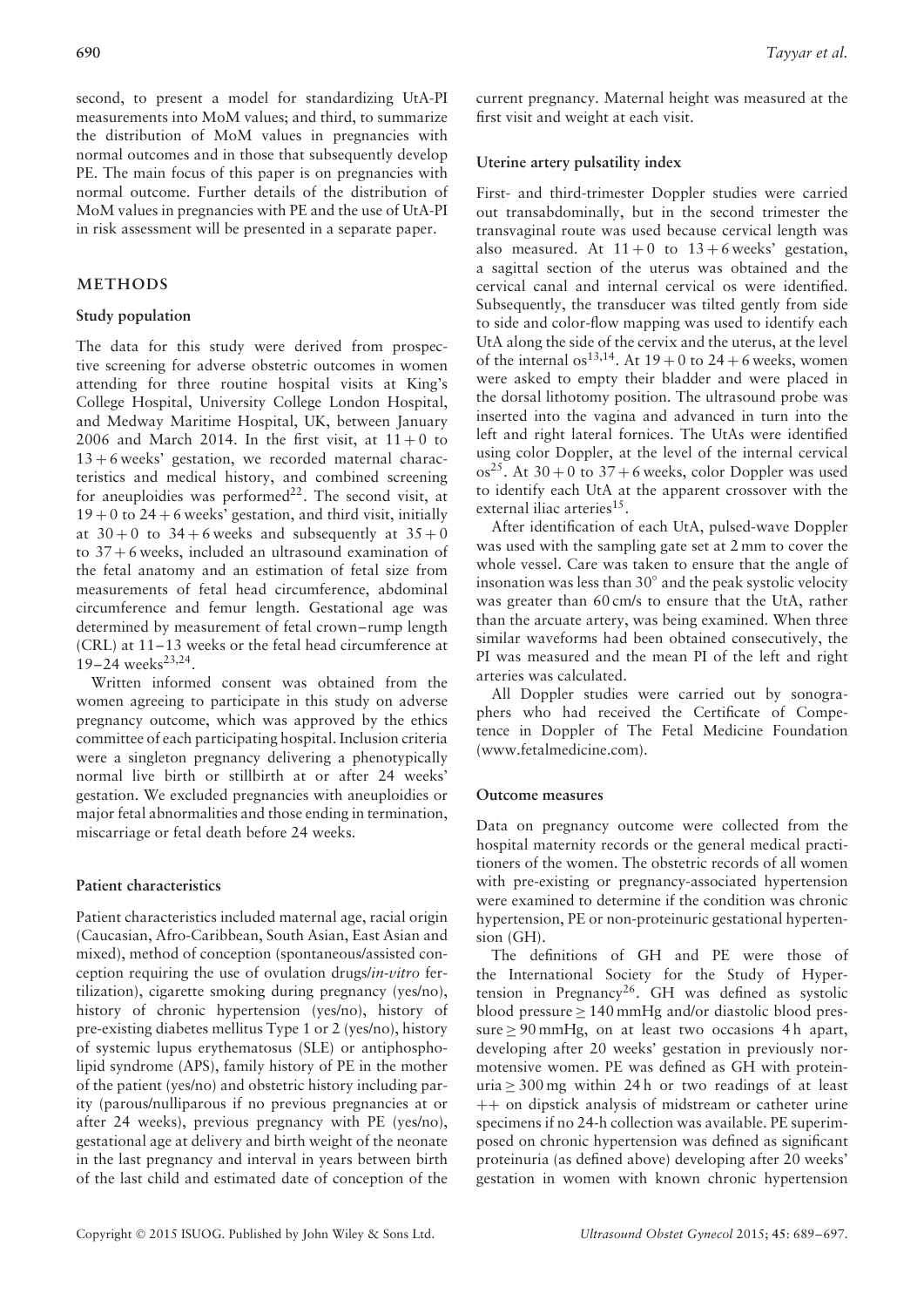second, to present a model for standardizing UtA-PI measurements into MoM values; and third, to summarize the distribution of MoM values in pregnancies with normal outcomes and in those that subsequently develop PE. The main focus of this paper is on pregnancies with normal outcome. Further details of the distribution of MoM values in pregnancies with PE and the use of UtA-PI in risk assessment will be presented in a separate paper.

## **METHODS**

## **Study population**

The data for this study were derived from prospective screening for adverse obstetric outcomes in women attending for three routine hospital visits at King's College Hospital, University College London Hospital, and Medway Maritime Hospital, UK, between January 2006 and March 2014. In the first visit, at  $11+0$  to 13 + 6 weeks' gestation, we recorded maternal characteristics and medical history, and combined screening for aneuploidies was performed $22$ . The second visit, at  $19 + 0$  to  $24 + 6$  weeks' gestation, and third visit, initially at  $30 + 0$  to  $34 + 6$  weeks and subsequently at  $35 + 0$ to 37 + 6 weeks, included an ultrasound examination of the fetal anatomy and an estimation of fetal size from measurements of fetal head circumference, abdominal circumference and femur length. Gestational age was determined by measurement of fetal crown–rump length (CRL) at 11–13 weeks or the fetal head circumference at  $19-24$  weeks<sup>23,24</sup>.

Written informed consent was obtained from the women agreeing to participate in this study on adverse pregnancy outcome, which was approved by the ethics committee of each participating hospital. Inclusion criteria were a singleton pregnancy delivering a phenotypically normal live birth or stillbirth at or after 24 weeks' gestation. We excluded pregnancies with aneuploidies or major fetal abnormalities and those ending in termination, miscarriage or fetal death before 24 weeks.

#### **Patient characteristics**

Patient characteristics included maternal age, racial origin (Caucasian, Afro-Caribbean, South Asian, East Asian and mixed), method of conception (spontaneous/assisted conception requiring the use of ovulation drugs/*in-vitro* fertilization), cigarette smoking during pregnancy (yes/no), history of chronic hypertension (yes/no), history of pre-existing diabetes mellitus Type 1 or 2 (yes/no), history of systemic lupus erythematosus (SLE) or antiphospholipid syndrome (APS), family history of PE in the mother of the patient (yes/no) and obstetric history including parity (parous/nulliparous if no previous pregnancies at or after 24 weeks), previous pregnancy with PE (yes/no), gestational age at delivery and birth weight of the neonate in the last pregnancy and interval in years between birth of the last child and estimated date of conception of the current pregnancy. Maternal height was measured at the first visit and weight at each visit.

## **Uterine artery pulsatility index**

First- and third-trimester Doppler studies were carried out transabdominally, but in the second trimester the transvaginal route was used because cervical length was also measured. At  $11 + 0$  to  $13 + 6$  weeks' gestation, a sagittal section of the uterus was obtained and the cervical canal and internal cervical os were identified. Subsequently, the transducer was tilted gently from side to side and color-flow mapping was used to identify each UtA along the side of the cervix and the uterus, at the level of the internal os<sup>13,14</sup>. At  $19 + 0$  to  $24 + 6$  weeks, women were asked to empty their bladder and were placed in the dorsal lithotomy position. The ultrasound probe was inserted into the vagina and advanced in turn into the left and right lateral fornices. The UtAs were identified using color Doppler, at the level of the internal cervical  $\cos^{25}$ . At 30 + 0 to 37 + 6 weeks, color Doppler was used to identify each UtA at the apparent crossover with the external iliac arteries $^{15}$ .

After identification of each UtA, pulsed-wave Doppler was used with the sampling gate set at 2 mm to cover the whole vessel. Care was taken to ensure that the angle of insonation was less than 30◦ and the peak systolic velocity was greater than 60 cm/s to ensure that the UtA, rather than the arcuate artery, was being examined. When three similar waveforms had been obtained consecutively, the PI was measured and the mean PI of the left and right arteries was calculated.

All Doppler studies were carried out by sonographers who had received the Certificate of Competence in Doppler of The Fetal Medicine Foundation (www.fetalmedicine.com).

#### **Outcome measures**

Data on pregnancy outcome were collected from the hospital maternity records or the general medical practitioners of the women. The obstetric records of all women with pre-existing or pregnancy-associated hypertension were examined to determine if the condition was chronic hypertension, PE or non-proteinuric gestational hypertension (GH).

The definitions of GH and PE were those of the International Society for the Study of Hypertension in Pregnancy<sup>26</sup>. GH was defined as systolic blood pressure ≥ 140 mmHg and/or diastolic blood pressure  $> 90$  mmHg, on at least two occasions 4 h apart, developing after 20 weeks' gestation in previously normotensive women. PE was defined as GH with proteinuria  $\geq$  300 mg within 24 h or two readings of at least ++ on dipstick analysis of midstream or catheter urine specimens if no 24-h collection was available. PE superimposed on chronic hypertension was defined as significant proteinuria (as defined above) developing after 20 weeks' gestation in women with known chronic hypertension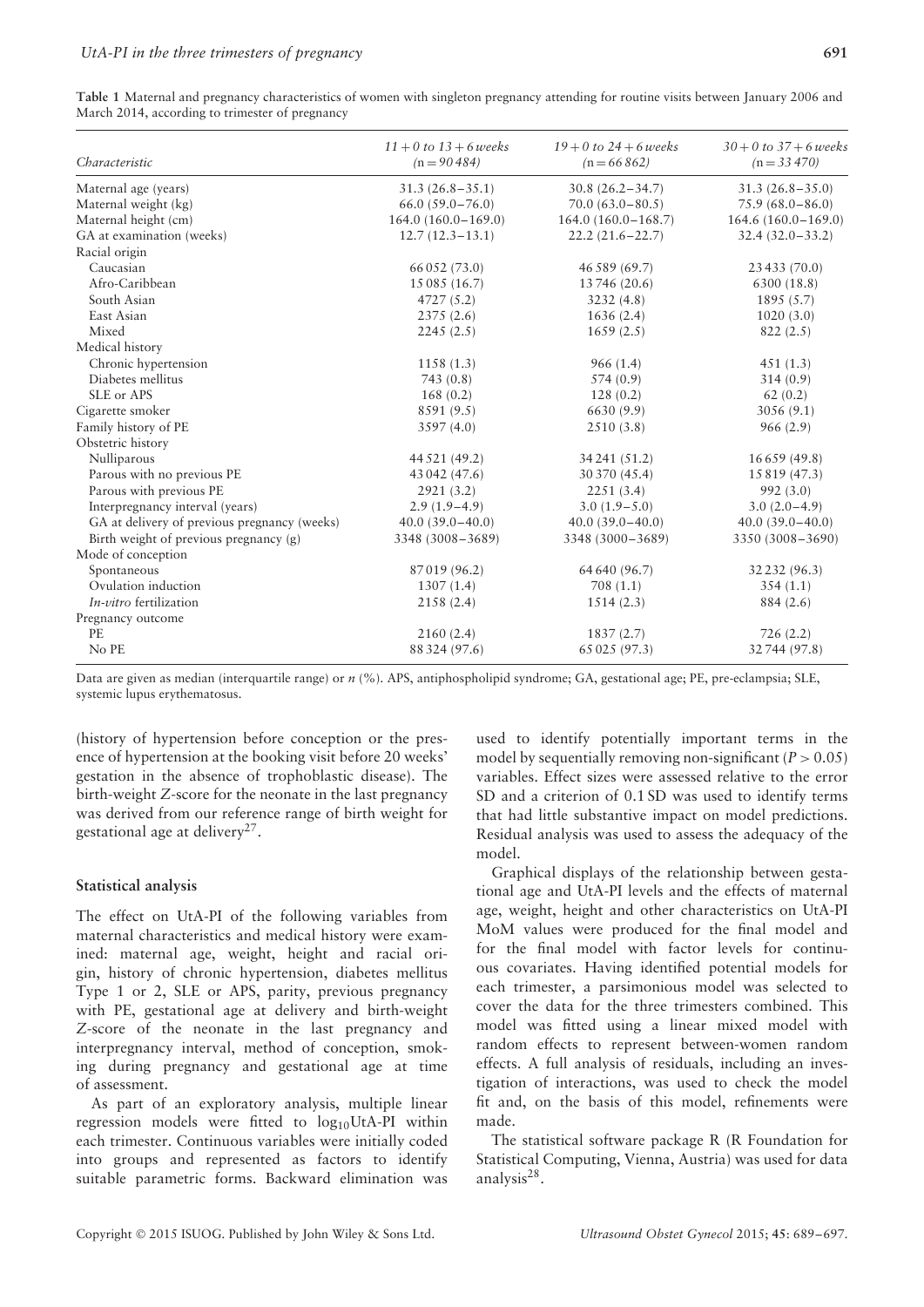| Characteristic                               | $11 + 0$ to $13 + 6$ weeks<br>$(n = 90484)$ | $19 + 0$ to $24 + 6$ weeks<br>$(n = 66862)$ | $30 + 0$ to $37 + 6$ weeks<br>$(n = 33470)$ |
|----------------------------------------------|---------------------------------------------|---------------------------------------------|---------------------------------------------|
| Maternal age (years)                         | $31.3(26.8 - 35.1)$                         | $30.8(26.2 - 34.7)$                         | $31.3(26.8 - 35.0)$                         |
| Maternal weight (kg)                         | $66.0(59.0 - 76.0)$                         | $70.0(63.0 - 80.5)$                         | $75.9(68.0 - 86.0)$                         |
| Maternal height (cm)                         | $164.0(160.0-169.0)$                        | $164.0(160.0 - 168.7)$                      | $164.6(160.0-169.0)$                        |
| GA at examination (weeks)                    | $12.7(12.3-13.1)$                           | $22.2(21.6 - 22.7)$                         | $32.4(32.0-33.2)$                           |
| Racial origin                                |                                             |                                             |                                             |
| Caucasian                                    | 66 052 (73.0)                               | 46 589 (69.7)                               | 23 433 (70.0)                               |
| Afro-Caribbean                               | 15 085 (16.7)                               | 13 746 (20.6)                               | 6300 (18.8)                                 |
| South Asian                                  | 4727(5.2)                                   | 3232(4.8)                                   | 1895(5.7)                                   |
| East Asian                                   | 2375 (2.6)                                  | 1636(2.4)                                   | 1020(3.0)                                   |
| Mixed                                        | 2245(2.5)                                   | 1659(2.5)                                   | 822(2.5)                                    |
| Medical history                              |                                             |                                             |                                             |
| Chronic hypertension                         | 1158(1.3)                                   | 966(1.4)                                    | 451(1.3)                                    |
| Diabetes mellitus                            | 743(0.8)                                    | 574 (0.9)                                   | 314(0.9)                                    |
| SLE or APS                                   | 168(0.2)                                    | 128(0.2)                                    | 62(0.2)                                     |
| Cigarette smoker                             | 8591 (9.5)                                  | 6630 (9.9)                                  | 3056 (9.1)                                  |
| Family history of PE                         | 3597 (4.0)                                  | 2510(3.8)                                   | 966(2.9)                                    |
| Obstetric history                            |                                             |                                             |                                             |
| Nulliparous                                  | 44 521 (49.2)                               | 34 241 (51.2)                               | 16 659 (49.8)                               |
| Parous with no previous PE                   | 43 042 (47.6)                               | 30 370 (45.4)                               | 15 819 (47.3)                               |
| Parous with previous PE                      | 2921(3.2)                                   | 2251(3.4)                                   | 992(3.0)                                    |
| Interpregnancy interval (years)              | $2.9(1.9-4.9)$                              | $3.0(1.9-5.0)$                              | $3.0(2.0-4.9)$                              |
| GA at delivery of previous pregnancy (weeks) | $40.0(39.0-40.0)$                           | $40.0(39.0-40.0)$                           | $40.0(39.0-40.0)$                           |
| Birth weight of previous pregnancy (g)       | 3348 (3008-3689)                            | 3348 (3000-3689)                            | 3350 (3008-3690)                            |
| Mode of conception                           |                                             |                                             |                                             |
| Spontaneous                                  | 87019 (96.2)                                | 64 640 (96.7)                               | 32 232 (96.3)                               |
| Ovulation induction                          | 1307(1.4)                                   | 708(1.1)                                    | 354(1.1)                                    |
| <i>In-vitro</i> fertilization                | 2158(2.4)                                   | 1514(2.3)                                   | 884 (2.6)                                   |
| Pregnancy outcome                            |                                             |                                             |                                             |
| <b>PE</b>                                    | 2160(2.4)                                   | 1837(2.7)                                   | 726(2.2)                                    |
| No PE                                        | 88 324 (97.6)                               | 65 025 (97.3)                               | 32 744 (97.8)                               |

| Table 1 Maternal and pregnancy characteristics of women with singleton pregnancy attending for routine visits between January 2006 and |  |  |  |  |  |
|----------------------------------------------------------------------------------------------------------------------------------------|--|--|--|--|--|
| March 2014, according to trimester of pregnancy                                                                                        |  |  |  |  |  |

Data are given as median (interquartile range) or *n* (%). APS, antiphospholipid syndrome; GA, gestational age; PE, pre-eclampsia; SLE, systemic lupus erythematosus.

(history of hypertension before conception or the presence of hypertension at the booking visit before 20 weeks' gestation in the absence of trophoblastic disease). The birth-weight *Z*-score for the neonate in the last pregnancy was derived from our reference range of birth weight for gestational age at delivery27.

## **Statistical analysis**

The effect on UtA-PI of the following variables from maternal characteristics and medical history were examined: maternal age, weight, height and racial origin, history of chronic hypertension, diabetes mellitus Type 1 or 2, SLE or APS, parity, previous pregnancy with PE, gestational age at delivery and birth-weight *Z*-score of the neonate in the last pregnancy and interpregnancy interval, method of conception, smoking during pregnancy and gestational age at time of assessment.

As part of an exploratory analysis, multiple linear regression models were fitted to log<sub>10</sub>UtA-PI within each trimester. Continuous variables were initially coded into groups and represented as factors to identify suitable parametric forms. Backward elimination was

used to identify potentially important terms in the model by sequentially removing non-significant  $(P > 0.05)$ variables. Effect sizes were assessed relative to the error SD and a criterion of 0.1 SD was used to identify terms that had little substantive impact on model predictions. Residual analysis was used to assess the adequacy of the model.

Graphical displays of the relationship between gestational age and UtA-PI levels and the effects of maternal age, weight, height and other characteristics on UtA-PI MoM values were produced for the final model and for the final model with factor levels for continuous covariates. Having identified potential models for each trimester, a parsimonious model was selected to cover the data for the three trimesters combined. This model was fitted using a linear mixed model with random effects to represent between-women random effects. A full analysis of residuals, including an investigation of interactions, was used to check the model fit and, on the basis of this model, refinements were made.

The statistical software package R (R Foundation for Statistical Computing, Vienna, Austria) was used for data analysis28.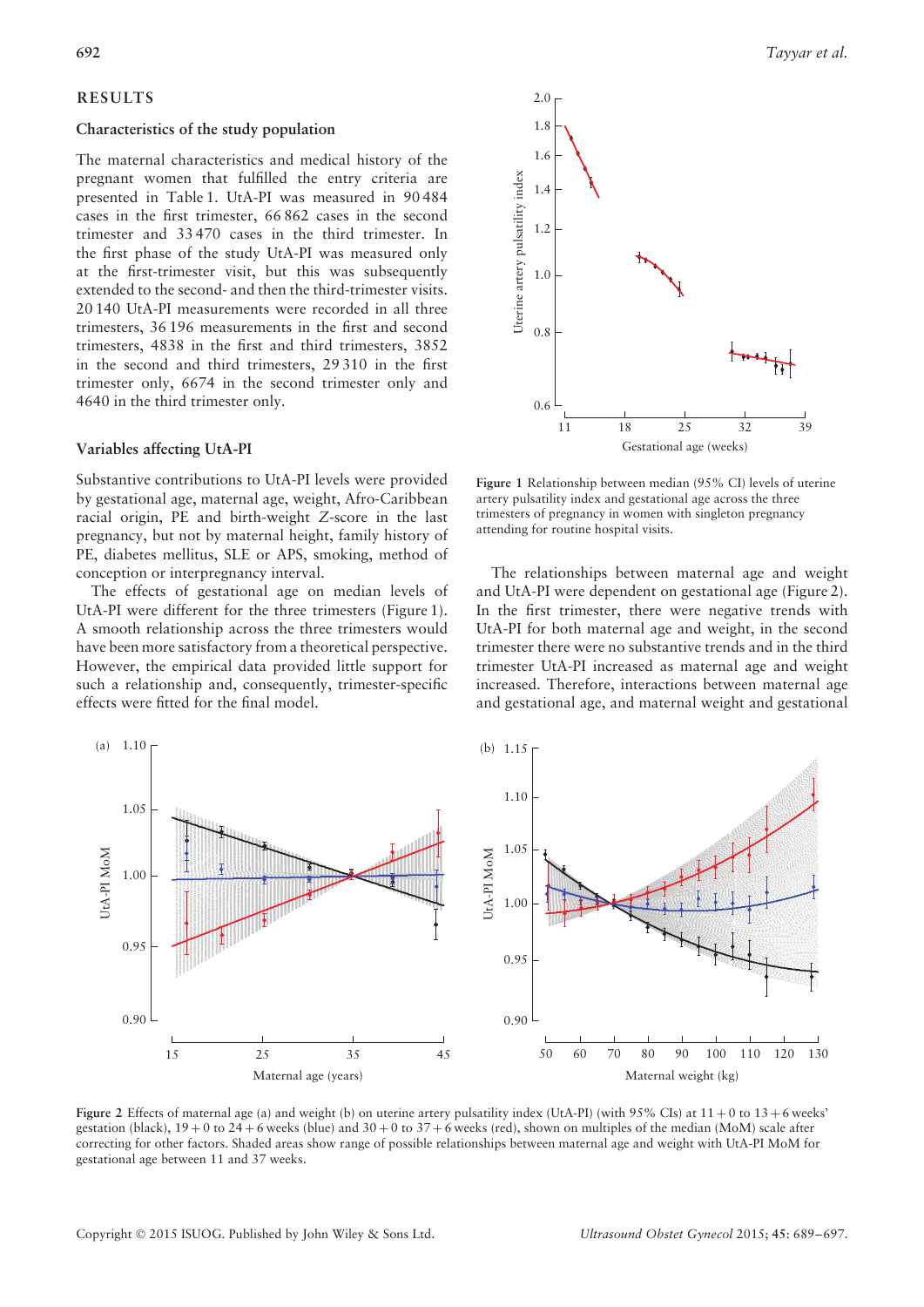# **RESULTS**

#### **Characteristics of the study population**

The maternal characteristics and medical history of the pregnant women that fulfilled the entry criteria are presented in Table 1. UtA-PI was measured in 90 484 cases in the first trimester, 66 862 cases in the second trimester and 33 470 cases in the third trimester. In the first phase of the study UtA-PI was measured only at the first-trimester visit, but this was subsequently extended to the second- and then the third-trimester visits. 20 140 UtA-PI measurements were recorded in all three trimesters, 36 196 measurements in the first and second trimesters, 4838 in the first and third trimesters, 3852 in the second and third trimesters, 29 310 in the first trimester only, 6674 in the second trimester only and 4640 in the third trimester only.

## **Variables affecting UtA-PI**

Substantive contributions to UtA-PI levels were provided by gestational age, maternal age, weight, Afro-Caribbean racial origin, PE and birth-weight *Z*-score in the last pregnancy, but not by maternal height, family history of PE, diabetes mellitus, SLE or APS, smoking, method of conception or interpregnancy interval.

The effects of gestational age on median levels of UtA-PI were different for the three trimesters (Figure 1). A smooth relationship across the three trimesters would have been more satisfactory from a theoretical perspective. However, the empirical data provided little support for such a relationship and, consequently, trimester-specific effects were fitted for the final model.



**Figure 1** Relationship between median (95% CI) levels of uterine artery pulsatility index and gestational age across the three trimesters of pregnancy in women with singleton pregnancy attending for routine hospital visits.

The relationships between maternal age and weight and UtA-PI were dependent on gestational age (Figure 2). In the first trimester, there were negative trends with UtA-PI for both maternal age and weight, in the second trimester there were no substantive trends and in the third trimester UtA-PI increased as maternal age and weight increased. Therefore, interactions between maternal age and gestational age, and maternal weight and gestational



**Figure 2** Effects of maternal age (a) and weight (b) on uterine artery pulsatility index (UtA-PI) (with 95% CIs) at 11 + 0 to 13 + 6 weeks' gestation (black),  $19 + 0$  to  $24 + 6$  weeks (blue) and  $30 + 0$  to  $37 + 6$  weeks (red), shown on multiples of the median (MoM) scale after correcting for other factors. Shaded areas show range of possible relationships between maternal age and weight with UtA-PI MoM for gestational age between 11 and 37 weeks.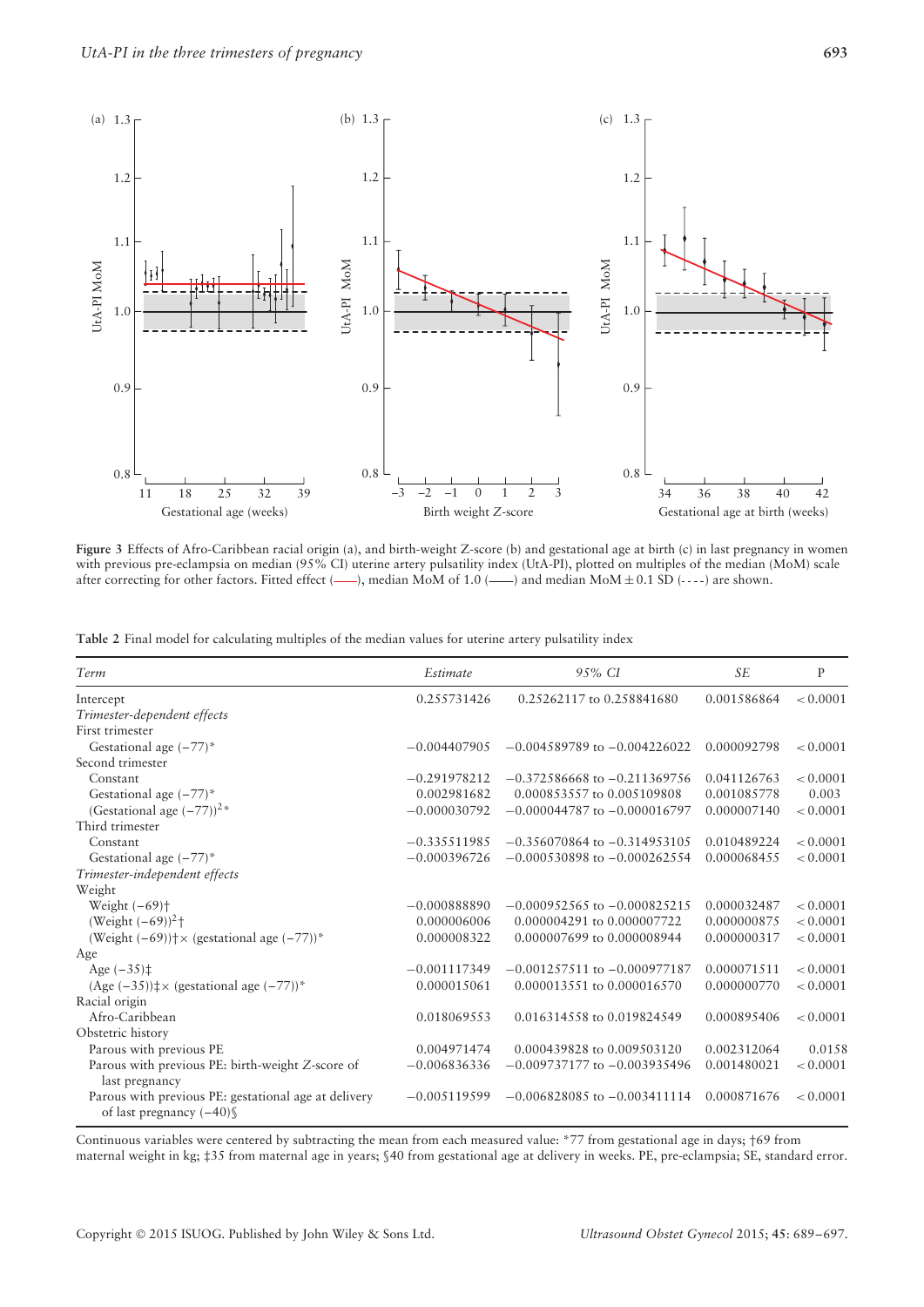

**Figure 3** Effects of Afro-Caribbean racial origin (a), and birth-weight Z-score (b) and gestational age at birth (c) in last pregnancy in women with previous pre-eclampsia on median (95% CI) uterine artery pulsatility index (UtA-PI), plotted on multiples of the median (MoM) scale after correcting for other factors. Fitted effect (-), median MoM of 1.0 (---) and median MoM $\pm$  0.1 SD (----) are shown.

**Table 2** Final model for calculating multiples of the median values for uterine artery pulsatility index

| Term                                                                              | Estimate       | 9.5% CI                          | <b>SE</b>   | $\mathbf{P}$ |
|-----------------------------------------------------------------------------------|----------------|----------------------------------|-------------|--------------|
| Intercept                                                                         | 0.255731426    | 0.25262117 to 0.258841680        | 0.001586864 | < 0.0001     |
| Trimester-dependent effects                                                       |                |                                  |             |              |
| First trimester                                                                   |                |                                  |             |              |
| Gestational age $(-77)^*$                                                         | $-0.004407905$ | $-0.004589789$ to $-0.004226022$ | 0.000092798 | < 0.0001     |
| Second trimester                                                                  |                |                                  |             |              |
| Constant                                                                          | $-0.291978212$ | $-0.372586668$ to $-0.211369756$ | 0.041126763 | < 0.0001     |
| Gestational age $(-77)^*$                                                         | 0.002981682    | 0.000853557 to 0.005109808       | 0.001085778 | 0.003        |
| (Gestational age $(-77)$ ) <sup>2*</sup>                                          | $-0.000030792$ | $-0.000044787$ to $-0.000016797$ | 0.000007140 | < 0.0001     |
| Third trimester                                                                   |                |                                  |             |              |
| Constant                                                                          | $-0.335511985$ | $-0.356070864$ to $-0.314953105$ | 0.010489224 | < 0.0001     |
| Gestational age $(-77)^*$                                                         | $-0.000396726$ | $-0.000530898$ to $-0.000262554$ | 0.000068455 | < 0.0001     |
| Trimester-independent effects                                                     |                |                                  |             |              |
| Weight                                                                            |                |                                  |             |              |
| Weight $(-69)$ <sup>+</sup>                                                       | $-0.000888890$ | $-0.000952565$ to $-0.000825215$ | 0.000032487 | < 0.0001     |
| (Weight $(-69)$ ) <sup>2</sup> †                                                  | 0.000006006    | 0.000004291 to 0.000007722       | 0.000000875 | < 0.0001     |
| (Weight $(-69)$ ) $\uparrow \times$ (gestational age $(-77)$ )*                   | 0.000008322    | 0.000007699 to 0.000008944       | 0.000000317 | < 0.0001     |
| Age                                                                               |                |                                  |             |              |
| Age $(-35)$ <sup><math>\ddagger</math></sup>                                      | $-0.001117349$ | $-0.001257511$ to $-0.000977187$ | 0.000071511 | < 0.0001     |
| (Age $(-35)$ ) $\neq \times$ (gestational age $(-77)$ )*                          | 0.000015061    | 0.000013551 to 0.000016570       | 0.000000770 | < 0.0001     |
| Racial origin                                                                     |                |                                  |             |              |
| Afro-Caribbean                                                                    | 0.018069553    | 0.016314558 to 0.019824549       | 0.000895406 | < 0.0001     |
| Obstetric history                                                                 |                |                                  |             |              |
| Parous with previous PE                                                           | 0.004971474    | 0.000439828 to 0.009503120       | 0.002312064 | 0.0158       |
| Parous with previous PE: birth-weight Z-score of<br>last pregnancy                | $-0.006836336$ | $-0.009737177$ to $-0.003935496$ | 0.001480021 | < 0.0001     |
| Parous with previous PE: gestational age at delivery<br>of last pregnancy $(-40)$ | $-0.005119599$ | $-0.006828085$ to $-0.003411114$ | 0.000871676 | < 0.0001     |

Continuous variables were centered by subtracting the mean from each measured value: \*77 from gestational age in days; †69 from

maternal weight in kg; ‡35 from maternal age in years; §40 from gestational age at delivery in weeks. PE, pre-eclampsia; SE, standard error.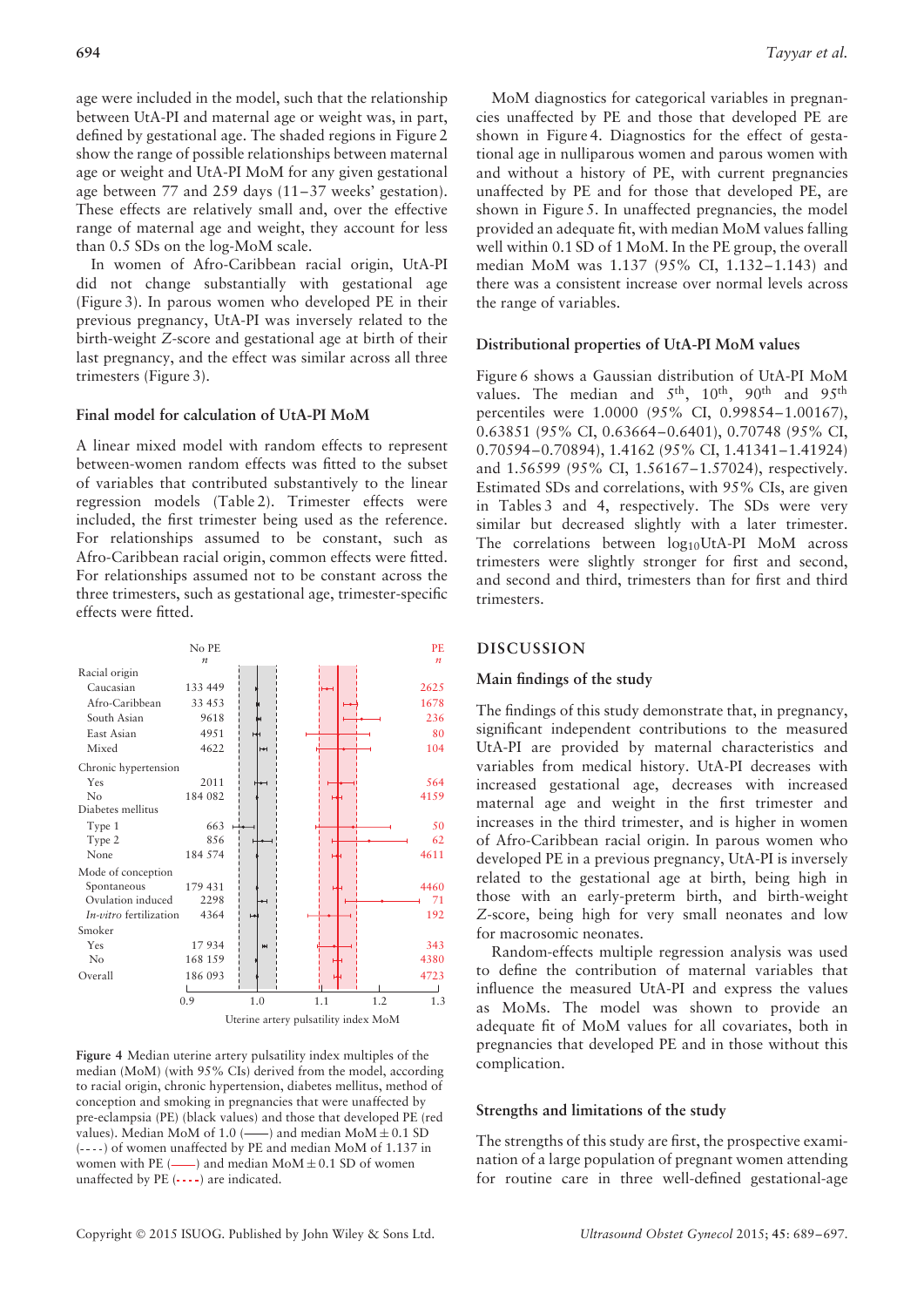age were included in the model, such that the relationship between UtA-PI and maternal age or weight was, in part, defined by gestational age. The shaded regions in Figure 2 show the range of possible relationships between maternal age or weight and UtA-PI MoM for any given gestational age between 77 and 259 days (11–37 weeks' gestation). These effects are relatively small and, over the effective range of maternal age and weight, they account for less than 0.5 SDs on the log-MoM scale.

In women of Afro-Caribbean racial origin, UtA-PI did not change substantially with gestational age (Figure 3). In parous women who developed PE in their previous pregnancy, UtA-PI was inversely related to the birth-weight *Z*-score and gestational age at birth of their last pregnancy, and the effect was similar across all three trimesters (Figure 3).

## **Final model for calculation of UtA-PI MoM**

A linear mixed model with random effects to represent between-women random effects was fitted to the subset of variables that contributed substantively to the linear regression models (Table 2). Trimester effects were included, the first trimester being used as the reference. For relationships assumed to be constant, such as Afro-Caribbean racial origin, common effects were fitted. For relationships assumed not to be constant across the three trimesters, such as gestational age, trimester-specific effects were fitted.



**Figure 4** Median uterine artery pulsatility index multiples of the median (MoM) (with 95% CIs) derived from the model, according to racial origin, chronic hypertension, diabetes mellitus, method of conception and smoking in pregnancies that were unaffected by pre-eclampsia (PE) (black values) and those that developed PE (red values). Median MoM of 1.0 ( $\longrightarrow$ ) and median MoM  $\pm$  0.1 SD  $(---)$  of women unaffected by PE and median MoM of 1.137 in women with PE  $(\_\!\text{real}$  and median MoM  $\pm$  0.1 SD of women unaffected by PE  $(- - -)$  are indicated.

MoM diagnostics for categorical variables in pregnancies unaffected by PE and those that developed PE are shown in Figure 4. Diagnostics for the effect of gestational age in nulliparous women and parous women with and without a history of PE, with current pregnancies unaffected by PE and for those that developed PE, are shown in Figure 5. In unaffected pregnancies, the model provided an adequate fit, with median MoM values falling well within 0.1 SD of 1 MoM. In the PE group, the overall median MoM was 1.137 (95% CI, 1.132–1.143) and there was a consistent increase over normal levels across the range of variables.

## **Distributional properties of UtA-PI MoM values**

Figure 6 shows a Gaussian distribution of UtA-PI MoM values. The median and  $5<sup>th</sup>$ ,  $10<sup>th</sup>$ ,  $90<sup>th</sup>$  and  $95<sup>th</sup>$ percentiles were 1.0000 (95% CI, 0.99854–1.00167), 0.63851 (95% CI, 0.63664–0.6401), 0.70748 (95% CI, 0.70594–0.70894), 1.4162 (95% CI, 1.41341–1.41924) and 1.56599 (95% CI, 1.56167–1.57024), respectively. Estimated SDs and correlations, with 95% CIs, are given in Tables 3 and 4, respectively. The SDs were very similar but decreased slightly with a later trimester. The correlations between  $log_{10}UtA-PI$  MoM across trimesters were slightly stronger for first and second, and second and third, trimesters than for first and third trimesters.

#### **DISCUSSION**

### **Main findings of the study**

The findings of this study demonstrate that, in pregnancy, significant independent contributions to the measured UtA-PI are provided by maternal characteristics and variables from medical history. UtA-PI decreases with increased gestational age, decreases with increased maternal age and weight in the first trimester and increases in the third trimester, and is higher in women of Afro-Caribbean racial origin. In parous women who developed PE in a previous pregnancy, UtA-PI is inversely related to the gestational age at birth, being high in those with an early-preterm birth, and birth-weight *Z*-score, being high for very small neonates and low for macrosomic neonates.

Random-effects multiple regression analysis was used to define the contribution of maternal variables that influence the measured UtA-PI and express the values as MoMs. The model was shown to provide an adequate fit of MoM values for all covariates, both in pregnancies that developed PE and in those without this complication.

#### **Strengths and limitations of the study**

The strengths of this study are first, the prospective examination of a large population of pregnant women attending for routine care in three well-defined gestational-age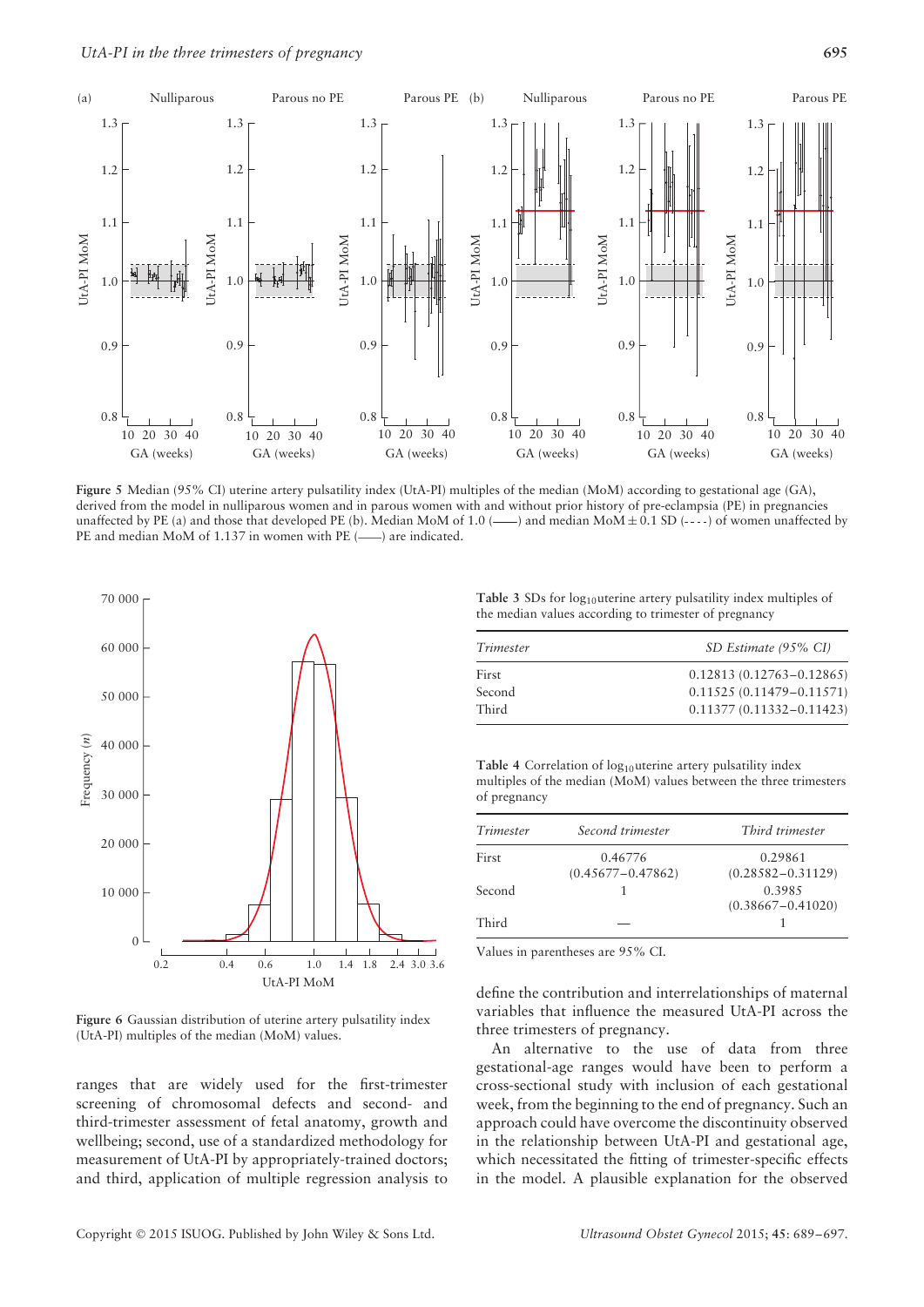

**Figure 5** Median (95% CI) uterine artery pulsatility index (UtA-PI) multiples of the median (MoM) according to gestational age (GA), derived from the model in nulliparous women and in parous women with and without prior history of pre-eclampsia (PE) in pregnancies unaffected by PE (a) and those that developed PE (b). Median MoM of 1.0 (——) and median MoM $\pm$  0.1 SD (----) of women unaffected by PE and median MoM of 1.137 in women with PE (-) are indicated.



**Figure 6** Gaussian distribution of uterine artery pulsatility index (UtA-PI) multiples of the median (MoM) values.

ranges that are widely used for the first-trimester screening of chromosomal defects and second- and third-trimester assessment of fetal anatomy, growth and wellbeing; second, use of a standardized methodology for measurement of UtA-PI by appropriately-trained doctors; and third, application of multiple regression analysis to

Table 3 SDs for log<sub>10</sub>uterine artery pulsatility index multiples of the median values according to trimester of pregnancy

| Trimester | SD Estimate (95% CI)         |
|-----------|------------------------------|
| First     | $0.12813(0.12763 - 0.12865)$ |
| Second    | $0.11525(0.11479 - 0.11571)$ |
| Third     | $0.11377(0.11332 - 0.11423)$ |

Table 4 Correlation of log<sub>10</sub>uterine artery pulsatility index multiples of the median (MoM) values between the three trimesters of pregnancy

| Trimester | Second trimester                 | Third trimester                  |
|-----------|----------------------------------|----------------------------------|
| First     | 0.46776<br>$(0.45677 - 0.47862)$ | 0.29861<br>$(0.28582 - 0.31129)$ |
| Second    |                                  | 0.3985<br>$(0.38667 - 0.41020)$  |
| Third     |                                  |                                  |

Values in parentheses are 95% CI.

define the contribution and interrelationships of maternal variables that influence the measured UtA-PI across the three trimesters of pregnancy.

An alternative to the use of data from three gestational-age ranges would have been to perform a cross-sectional study with inclusion of each gestational week, from the beginning to the end of pregnancy. Such an approach could have overcome the discontinuity observed in the relationship between UtA-PI and gestational age, which necessitated the fitting of trimester-specific effects in the model. A plausible explanation for the observed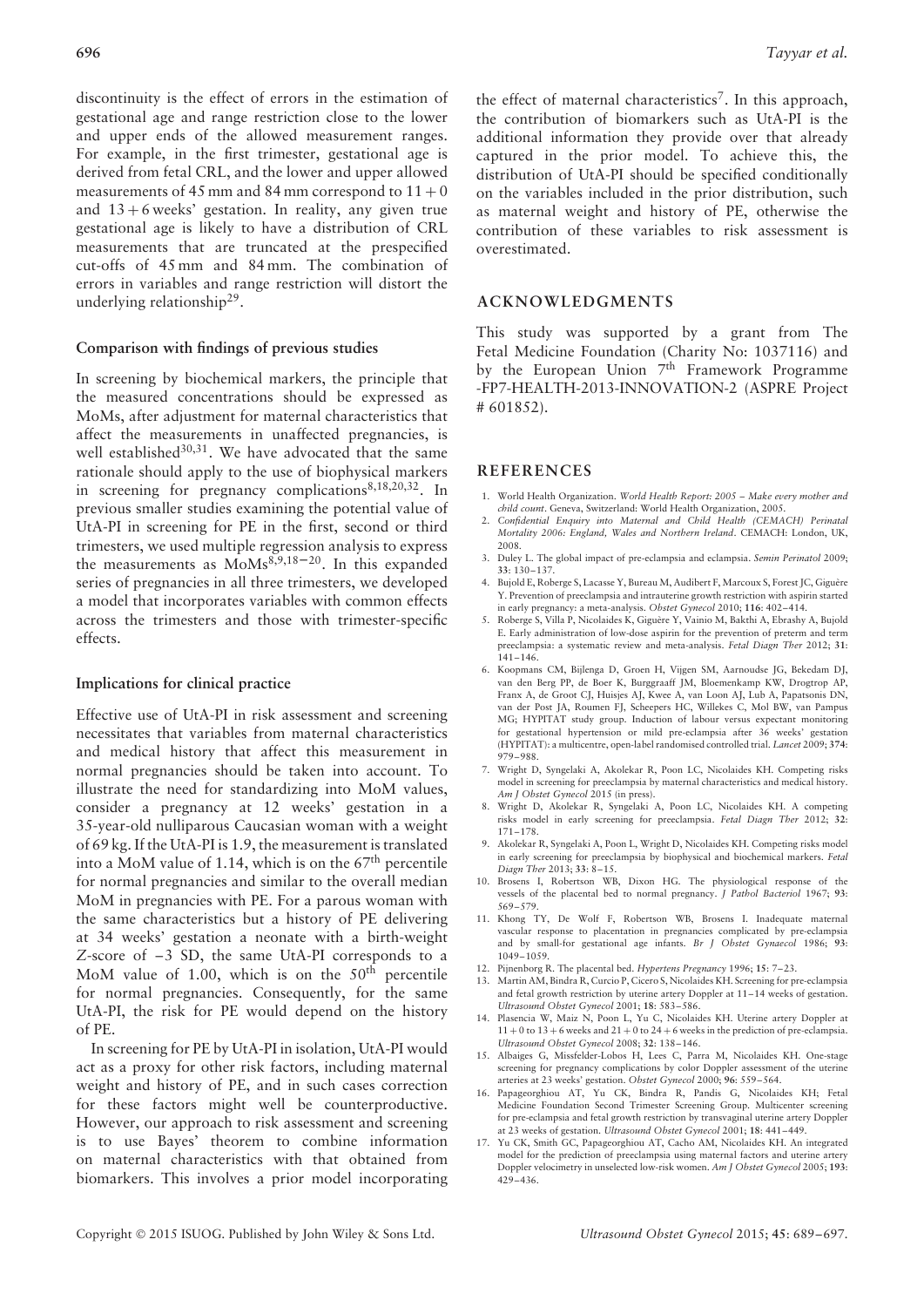discontinuity is the effect of errors in the estimation of gestational age and range restriction close to the lower and upper ends of the allowed measurement ranges. For example, in the first trimester, gestational age is derived from fetal CRL, and the lower and upper allowed measurements of 45 mm and 84 mm correspond to  $11 + 0$ and  $13 + 6$  weeks' gestation. In reality, any given true gestational age is likely to have a distribution of CRL measurements that are truncated at the prespecified cut-offs of 45 mm and 84 mm. The combination of errors in variables and range restriction will distort the underlying relationship29.

## **Comparison with findings of previous studies**

In screening by biochemical markers, the principle that the measured concentrations should be expressed as MoMs, after adjustment for maternal characteristics that affect the measurements in unaffected pregnancies, is well established<sup>30,31</sup>. We have advocated that the same rationale should apply to the use of biophysical markers in screening for pregnancy complications $8,18,20,32$ . In previous smaller studies examining the potential value of UtA-PI in screening for PE in the first, second or third trimesters, we used multiple regression analysis to express the measurements as  $M_0Ms^{8,9,18-20}$ . In this expanded series of pregnancies in all three trimesters, we developed a model that incorporates variables with common effects across the trimesters and those with trimester-specific effects.

#### **Implications for clinical practice**

Effective use of UtA-PI in risk assessment and screening necessitates that variables from maternal characteristics and medical history that affect this measurement in normal pregnancies should be taken into account. To illustrate the need for standardizing into MoM values, consider a pregnancy at 12 weeks' gestation in a 35-year-old nulliparous Caucasian woman with a weight of 69 kg. If the UtA-PI is 1.9, the measurement is translated into a MoM value of 1.14, which is on the  $67<sup>th</sup>$  percentile for normal pregnancies and similar to the overall median MoM in pregnancies with PE. For a parous woman with the same characteristics but a history of PE delivering at 34 weeks' gestation a neonate with a birth-weight *Z*-score of –3 SD, the same UtA-PI corresponds to a MoM value of 1.00, which is on the 50<sup>th</sup> percentile for normal pregnancies. Consequently, for the same UtA-PI, the risk for PE would depend on the history of PE.

In screening for PE by UtA-PI in isolation, UtA-PI would act as a proxy for other risk factors, including maternal weight and history of PE, and in such cases correction for these factors might well be counterproductive. However, our approach to risk assessment and screening is to use Bayes' theorem to combine information on maternal characteristics with that obtained from biomarkers. This involves a prior model incorporating the effect of maternal characteristics<sup>7</sup>. In this approach, the contribution of biomarkers such as UtA-PI is the additional information they provide over that already captured in the prior model. To achieve this, the distribution of UtA-PI should be specified conditionally on the variables included in the prior distribution, such as maternal weight and history of PE, otherwise the contribution of these variables to risk assessment is overestimated.

## **ACKNOWLEDGMENTS**

This study was supported by a grant from The Fetal Medicine Foundation (Charity No: 1037116) and by the European Union  $7<sup>th</sup>$  Framework Programme -FP7-HEALTH-2013-INNOVATION-2 (ASPRE Project # 601852).

#### **REFERENCES**

- 1. World Health Organization. *World Health Report: 2005 Make every mother and child count*. Geneva, Switzerland: World Health Organization, 2005.
- 2. *Confidential Enquiry into Maternal and Child Health (CEMACH) Perinatal Mortality 2006: England, Wales and Northern Ireland*. CEMACH: London, UK, 2008.
- 3. Duley L. The global impact of pre-eclampsia and eclampsia. *Semin Perinatol* 2009; **33**: 130–137.
- 4. Bujold E, Roberge S, Lacasse Y, Bureau M, Audibert F, Marcoux S, Forest JC, Giguère Y. Prevention of preeclampsia and intrauterine growth restriction with aspirin started in early pregnancy: a meta-analysis. *Obstet Gynecol* 2010; **116**: 402–414.
- 5. Roberge S, Villa P, Nicolaides K, Giguère Y, Vainio M, Bakthi A, Ebrashy A, Bujold E. Early administration of low-dose aspirin for the prevention of preterm and term preeclampsia: a systematic review and meta-analysis. *Fetal Diagn Ther* 2012; **31**: 141–146.
- 6. Koopmans CM, Bijlenga D, Groen H, Vijgen SM, Aarnoudse JG, Bekedam DJ, van den Berg PP, de Boer K, Burggraaff JM, Bloemenkamp KW, Drogtrop AP, Franx A, de Groot CJ, Huisjes AJ, Kwee A, van Loon AJ, Lub A, Papatsonis DN, van der Post JA, Roumen FJ, Scheepers HC, Willekes C, Mol BW, van Pampus MG; HYPITAT study group. Induction of labour versus expectant monitoring for gestational hypertension or mild pre-eclampsia after 36 weeks' gestation (HYPITAT): a multicentre, open-label randomised controlled trial. *Lancet* 2009; **374**: 979–988.
- 7. Wright D, Syngelaki A, Akolekar R, Poon LC, Nicolaides KH. Competing risks model in screening for preeclampsia by maternal characteristics and medical history. *Am J Obstet Gynecol* 2015 (in press).
- 8. Wright D, Akolekar R, Syngelaki A, Poon LC, Nicolaides KH. A competing risks model in early screening for preeclampsia. *Fetal Diagn Ther* 2012; **32**: 171–178.
- 9. Akolekar R, Syngelaki A, Poon L, Wright D, Nicolaides KH. Competing risks model in early screening for preeclampsia by biophysical and biochemical markers. *Fetal Diagn Ther* 2013; **33**: 8–15.
- 10. Brosens I, Robertson WB, Dixon HG. The physiological response of the vessels of the placental bed to normal pregnancy. *J Pathol Bacteriol* 1967; **93**: 569–579.
- 11. Khong TY, De Wolf F, Robertson WB, Brosens I. Inadequate maternal vascular response to placentation in pregnancies complicated by pre-eclampsia and by small-for gestational age infants. *Br J Obstet Gynaecol* 1986; **93**: 1049–1059.
- 12. Pijnenborg R. The placental bed. *Hypertens Pregnancy* 1996; **15**: 7–23.
- 13. Martin AM, Bindra R, Curcio P, Cicero S, Nicolaides KH. Screening for pre-eclampsia and fetal growth restriction by uterine artery Doppler at 11–14 weeks of gestation. *Ultrasound Obstet Gynecol* 2001; **18**: 583–586.
- 14. Plasencia W, Maiz N, Poon L, Yu C, Nicolaides KH. Uterine artery Doppler at  $11 + 0$  to  $13 + 6$  weeks and  $21 + 0$  to  $24 + 6$  weeks in the prediction of pre-eclampsia. *Ultrasound Obstet Gynecol* 2008; **32**: 138–146.
- 15. Albaiges G, Missfelder-Lobos H, Lees C, Parra M, Nicolaides KH. One-stage screening for pregnancy complications by color Doppler assessment of the uterine arteries at 23 weeks' gestation. *Obstet Gynecol* 2000; **96**: 559–564.
- 16. Papageorghiou AT, Yu CK, Bindra R, Pandis G, Nicolaides KH; Fetal Medicine Foundation Second Trimester Screening Group. Multicenter screening for pre-eclampsia and fetal growth restriction by transvaginal uterine artery Doppler at 23 weeks of gestation. *Ultrasound Obstet Gynecol* 2001; **18**: 441–449.
- 17. Yu CK, Smith GC, Papageorghiou AT, Cacho AM, Nicolaides KH. An integrated model for the prediction of preeclampsia using maternal factors and uterine artery Doppler velocimetry in unselected low-risk women. *Am J Obstet Gynecol* 2005; **193**: 429–436.